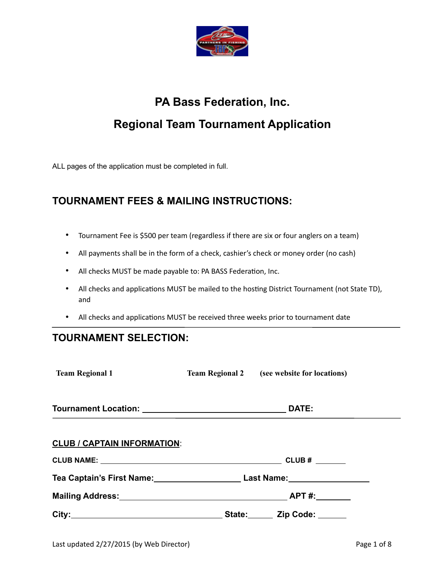

## **PA Bass Federation, Inc. Regional Team Tournament Application**

ALL pages of the application must be completed in full.

## **TOURNAMENT FEES & MAILING INSTRUCTIONS:**

- Tournament Fee is \$500 per team (regardless if there are six or four anglers on a team)
- All payments shall be in the form of a check, cashier's check or money order (no cash)
- All checks MUST be made payable to: PA BASS Federation, Inc.
- All checks and applications MUST be mailed to the hosting District Tournament (not State TD), and
- All checks and applications MUST be received three weeks prior to tournament date

## **TOURNAMENT SELECTION:**

| <b>Team Regional 1</b>                                                            | <b>Team Regional 2</b> (see website for locations) |
|-----------------------------------------------------------------------------------|----------------------------------------------------|
| Tournament Location: University of DATE:                                          |                                                    |
| <b>CLUB / CAPTAIN INFORMATION:</b>                                                |                                                    |
|                                                                                   |                                                    |
| Tea Captain's First Name: ____________________________Last Name: ________________ |                                                    |
|                                                                                   |                                                    |
|                                                                                   |                                                    |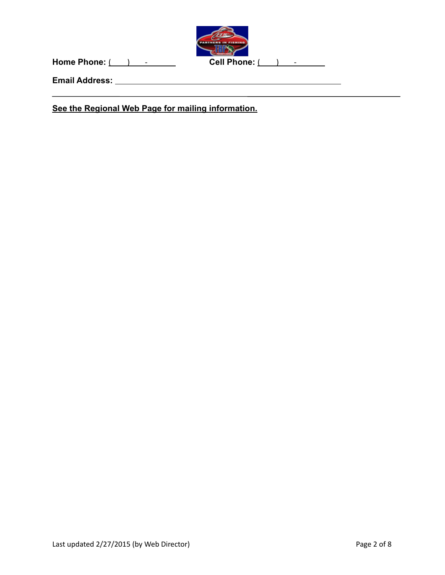

**Home Phone:** ( ) - Cell Phone: ( ) - \_ \_ \_

**Email Address:** 

**See the Regional Web Page for mailing information.**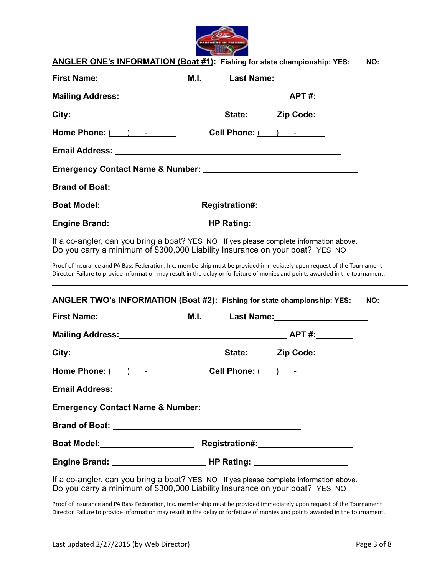

|                                                                                                                                                                                                                                                                                                                                          | ANGLER ONE's INFORMATION (Boat #1): Fishing for state championship: YES:                                                                                                                                                                                                                                                                      | NO: |  |
|------------------------------------------------------------------------------------------------------------------------------------------------------------------------------------------------------------------------------------------------------------------------------------------------------------------------------------------|-----------------------------------------------------------------------------------------------------------------------------------------------------------------------------------------------------------------------------------------------------------------------------------------------------------------------------------------------|-----|--|
|                                                                                                                                                                                                                                                                                                                                          |                                                                                                                                                                                                                                                                                                                                               |     |  |
|                                                                                                                                                                                                                                                                                                                                          |                                                                                                                                                                                                                                                                                                                                               |     |  |
|                                                                                                                                                                                                                                                                                                                                          |                                                                                                                                                                                                                                                                                                                                               |     |  |
| Home Phone: $\qquad \qquad$ $\qquad$ $\qquad$ $\qquad$ $\qquad$ $\qquad$ $\qquad$ $\qquad$ $\qquad$ $\qquad$ $\qquad$ $\qquad$ $\qquad$ $\qquad$ $\qquad$ $\qquad$ $\qquad$ $\qquad$ $\qquad$ $\qquad$ $\qquad$ $\qquad$ $\qquad$ $\qquad$ $\qquad$ $\qquad$ $\qquad$ $\qquad$ $\qquad$ $\qquad$ $\qquad$ $\qquad$ $\qquad$ $\qquad$ $\$ | Cell Phone: $\begin{array}{ c c c c }\n\hline\n\end{array}$                                                                                                                                                                                                                                                                                   |     |  |
|                                                                                                                                                                                                                                                                                                                                          |                                                                                                                                                                                                                                                                                                                                               |     |  |
|                                                                                                                                                                                                                                                                                                                                          |                                                                                                                                                                                                                                                                                                                                               |     |  |
|                                                                                                                                                                                                                                                                                                                                          |                                                                                                                                                                                                                                                                                                                                               |     |  |
|                                                                                                                                                                                                                                                                                                                                          |                                                                                                                                                                                                                                                                                                                                               |     |  |
|                                                                                                                                                                                                                                                                                                                                          |                                                                                                                                                                                                                                                                                                                                               |     |  |
|                                                                                                                                                                                                                                                                                                                                          | If a co-angler, can you bring a boat? YES NO If yes please complete information above.<br>Do you carry a minimum of \$300,000 Liability Insurance on your boat? YES NO                                                                                                                                                                        |     |  |
|                                                                                                                                                                                                                                                                                                                                          | Proof of insurance and PA Bass Federation, Inc. membership must be provided immediately upon request of the Tournament<br>Director. Failure to provide information may result in the delay or forfeiture of monies and points awarded in the tournament.<br>,我们也不能在这里的时候,我们也不能在这里的时候,我们也不能会在这里的时候,我们也不能会在这里的时候,我们也不能会在这里的时候,我们也不能会在这里的时候,我们也不 |     |  |
|                                                                                                                                                                                                                                                                                                                                          | ANGLER TWO's INFORMATION (Boat #2): Fishing for state championship: YES:                                                                                                                                                                                                                                                                      | NO: |  |
|                                                                                                                                                                                                                                                                                                                                          |                                                                                                                                                                                                                                                                                                                                               |     |  |
|                                                                                                                                                                                                                                                                                                                                          |                                                                                                                                                                                                                                                                                                                                               |     |  |
|                                                                                                                                                                                                                                                                                                                                          |                                                                                                                                                                                                                                                                                                                                               |     |  |
| Home Phone: $($ $)$ $ -$                                                                                                                                                                                                                                                                                                                 | Cell Phone: $($ $)$ $-$                                                                                                                                                                                                                                                                                                                       |     |  |
|                                                                                                                                                                                                                                                                                                                                          |                                                                                                                                                                                                                                                                                                                                               |     |  |
|                                                                                                                                                                                                                                                                                                                                          |                                                                                                                                                                                                                                                                                                                                               |     |  |
|                                                                                                                                                                                                                                                                                                                                          |                                                                                                                                                                                                                                                                                                                                               |     |  |
|                                                                                                                                                                                                                                                                                                                                          |                                                                                                                                                                                                                                                                                                                                               |     |  |
|                                                                                                                                                                                                                                                                                                                                          |                                                                                                                                                                                                                                                                                                                                               |     |  |
|                                                                                                                                                                                                                                                                                                                                          | If a co-angler, can you bring a boat? YES NO If yes please complete information above.<br>Do you carry a minimum of \$300,000 Liability Insurance on your boat? YES NO                                                                                                                                                                        |     |  |

Proof of insurance and PA Bass Federation, Inc. membership must be provided immediately upon request of the Tournament Director. Failure to provide information may result in the delay or forfeiture of monies and points awarded in the tournament.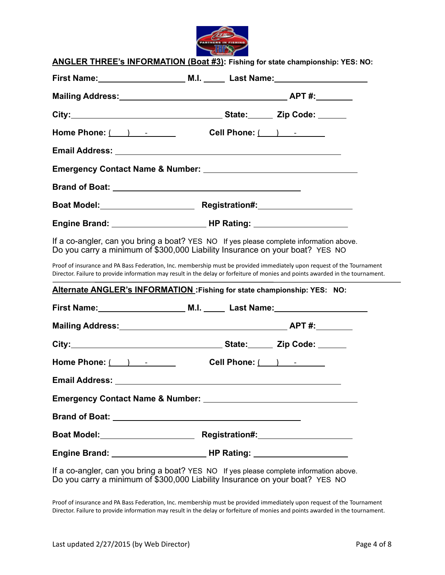

|                                                             | ANGLER THREE's INFORMATION (Boat #3): Fishing for state championship: YES: NO:                                                                                                                                                                           |
|-------------------------------------------------------------|----------------------------------------------------------------------------------------------------------------------------------------------------------------------------------------------------------------------------------------------------------|
|                                                             |                                                                                                                                                                                                                                                          |
|                                                             |                                                                                                                                                                                                                                                          |
|                                                             |                                                                                                                                                                                                                                                          |
| Home Phone: $($ $)$ $ -$                                    | Cell Phone: $\begin{array}{ c c c c c }\n\hline\n\end{array}$                                                                                                                                                                                            |
|                                                             |                                                                                                                                                                                                                                                          |
|                                                             |                                                                                                                                                                                                                                                          |
|                                                             |                                                                                                                                                                                                                                                          |
|                                                             |                                                                                                                                                                                                                                                          |
|                                                             |                                                                                                                                                                                                                                                          |
|                                                             | If a co-angler, can you bring a boat? YES NO If yes please complete information above.<br>Do you carry a minimum of \$300,000 Liability Insurance on your boat? YES NO                                                                                   |
|                                                             | Proof of insurance and PA Bass Federation, Inc. membership must be provided immediately upon request of the Tournament<br>Director. Failure to provide information may result in the delay or forfeiture of monies and points awarded in the tournament. |
|                                                             | Alternate ANGLER's INFORMATION: Fishing for state championship: YES: NO:                                                                                                                                                                                 |
|                                                             |                                                                                                                                                                                                                                                          |
|                                                             |                                                                                                                                                                                                                                                          |
|                                                             |                                                                                                                                                                                                                                                          |
| Home Phone: $\begin{array}{ c c c c }\n\hline\n\end{array}$ |                                                                                                                                                                                                                                                          |
| <b>Email Address:</b>                                       |                                                                                                                                                                                                                                                          |
|                                                             |                                                                                                                                                                                                                                                          |
|                                                             |                                                                                                                                                                                                                                                          |
|                                                             |                                                                                                                                                                                                                                                          |
|                                                             |                                                                                                                                                                                                                                                          |
|                                                             | If a co-angler, can you bring a boat? YES NO If yes please complete information above.<br>Do you carry a minimum of \$300,000 Liability Insurance on your boat? YES NO                                                                                   |

Proof of insurance and PA Bass Federation, Inc. membership must be provided immediately upon request of the Tournament Director. Failure to provide information may result in the delay or forfeiture of monies and points awarded in the tournament.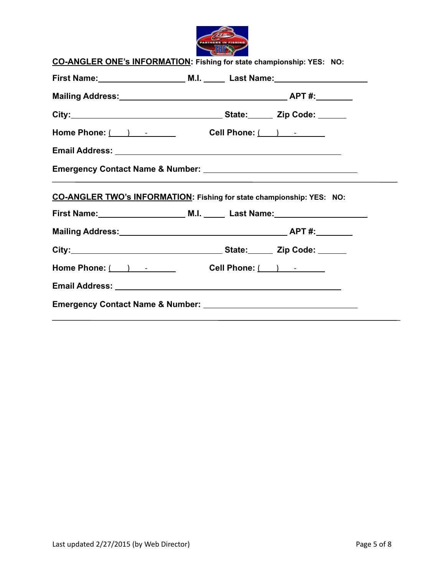

| Home Phone: $( )$ $\qquad$ $\qquad$ $\qquad$ Cell Phone: $( )$ $\qquad$ $\qquad$ |
|----------------------------------------------------------------------------------|
|                                                                                  |
|                                                                                  |
|                                                                                  |
|                                                                                  |
|                                                                                  |
| CO-ANGLER TWO's INFORMATION: Fishing for state championship: YES: NO:            |
|                                                                                  |
|                                                                                  |
|                                                                                  |
| Home Phone: $( )$ $\qquad$ $\qquad$ Cell Phone: $( )$ $\qquad$                   |
|                                                                                  |
|                                                                                  |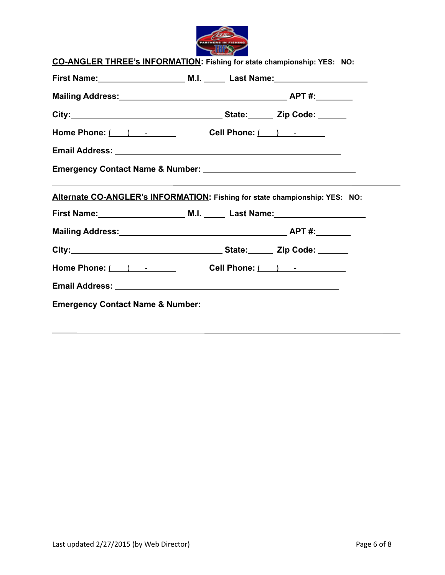

| Home Phone: $( )$ $\qquad$ $\qquad$ $\qquad$ Cell Phone: $( )$ $\qquad$ $\qquad$ |
|----------------------------------------------------------------------------------|
|                                                                                  |
|                                                                                  |
|                                                                                  |
| Alternate CO-ANGLER's INFORMATION: Fishing for state championship: YES: NO:      |
|                                                                                  |
|                                                                                  |
|                                                                                  |
| Home Phone: $( )$ $\qquad$ $\qquad$ Cell Phone: $( )$ $\qquad$ $\qquad$          |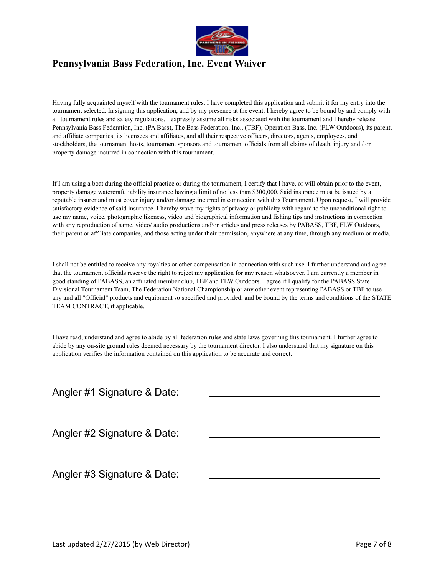

## **Pennsylvania Bass Federation, Inc. Event Waiver**

Having fully acquainted myself with the tournament rules, I have completed this application and submit it for my entry into the tournament selected. In signing this application, and by my presence at the event, I hereby agree to be bound by and comply with all tournament rules and safety regulations. I expressly assume all risks associated with the tournament and I hereby release Pennsylvania Bass Federation, Inc, (PA Bass), The Bass Federation, Inc., (TBF), Operation Bass, Inc. (FLW Outdoors), its parent, and affiliate companies, its licensees and affiliates, and all their respective officers, directors, agents, employees, and stockholders, the tournament hosts, tournament sponsors and tournament officials from all claims of death, injury and / or property damage incurred in connection with this tournament.

If I am using a boat during the official practice or during the tournament, I certify that I have, or will obtain prior to the event, property damage watercraft liability insurance having a limit of no less than \$300,000. Said insurance must be issued by a reputable insurer and must cover injury and/or damage incurred in connection with this Tournament. Upon request, I will provide satisfactory evidence of said insurance. I hereby wave my rights of privacy or publicity with regard to the unconditional right to use my name, voice, photographic likeness, video and biographical information and fishing tips and instructions in connection with any reproduction of same, video/ audio productions and\or articles and press releases by PABASS, TBF, FLW Outdoors, their parent or affiliate companies, and those acting under their permission, anywhere at any time, through any medium or media.

I shall not be entitled to receive any royalties or other compensation in connection with such use. I further understand and agree that the tournament officials reserve the right to reject my application for any reason whatsoever. I am currently a member in good standing of PABASS, an affiliated member club, TBF and FLW Outdoors. I agree if I qualify for the PABASS State Divisional Tournament Team, The Federation National Championship or any other event representing PABASS or TBF to use any and all "Official" products and equipment so specified and provided, and be bound by the terms and conditions of the STATE TEAM CONTRACT, if applicable.

I have read, understand and agree to abide by all federation rules and state laws governing this tournament. I further agree to abide by any on-site ground rules deemed necessary by the tournament director. I also understand that my signature on this application verifies the information contained on this application to be accurate and correct.

Angler #1 Signature & Date:

Angler #2 Signature & Date:

Angler #3 Signature & Date: